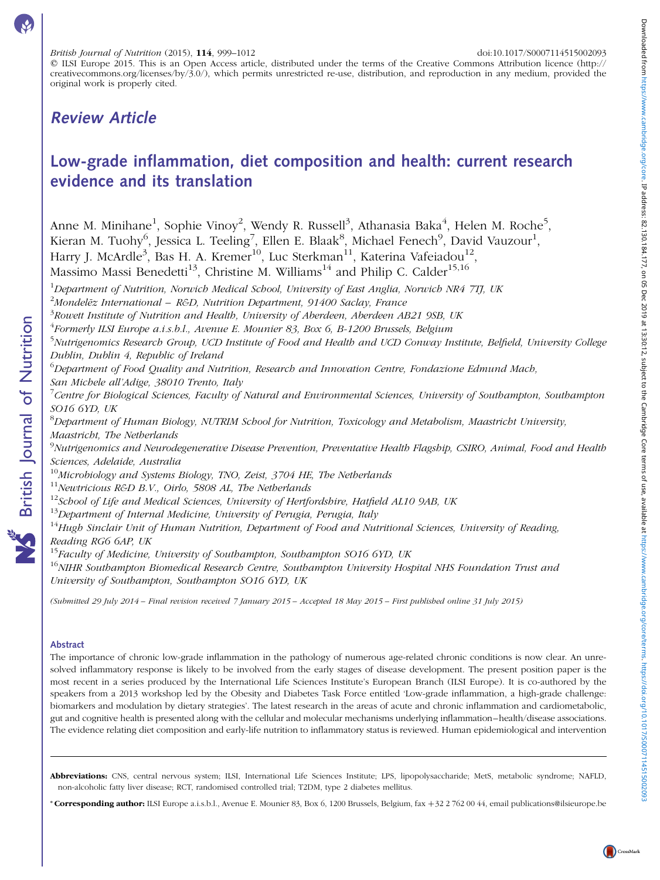q ILSI Europe 2015. This is an Open Access article, distributed under the terms of the Creative Commons Attribution licence (http:// creativecommons.org/licenses/by/3.0/), which permits unrestricted re-use, distribution, and reproduction in any medium, provided the original work is properly cited.

# Review Article

# Low-grade inflammation, diet composition and health: current research evidence and its translation

Anne M. Minihane<sup>1</sup>, Sophie Vinoy<sup>2</sup>, Wendy R. Russell<sup>3</sup>, Athanasia Baka<sup>4</sup>, Helen M. Roche<sup>5</sup>, Kieran M. Tuohy $^6$ , Jessica L. Teeling $^7$ , Ellen E. Blaak $^8$ , Michael Fenech $^9$ , David Vauzour $^1,$ Harry J. McArdle<sup>3</sup>, Bas H. A. Kremer<sup>10</sup>, Luc Sterkman<sup>11</sup>, Katerina Vafeiadou<sup>12</sup>, Massimo Massi Benedetti<sup>13</sup>, Christine M. Williams<sup>14</sup> and Philip C. Calder<sup>15,16</sup>

 $^1$ Department of Nutrition, Norwich Medical School, University of East Anglia, Norwich NR4 7TJ, UK

 $^{2}$ Mondelēz International – R&D, Nutrition Department, 91400 Saclay, France

 $^3$ Rowett Institute of Nutrition and Health, University of Aberdeen, Aberdeen AB21 9SB, UK

<sup>4</sup>Formerly ILSI Europe a.i.s.b.l., Avenue E. Mounier 83, Box 6, B-1200 Brussels, Belgium

<sup>5</sup>Nutrigenomics Research Group, UCD Institute of Food and Health and UCD Conway Institute, Belfield, University College Dublin, Dublin 4, Republic of Ireland

 $^6$ Department of Food Quality and Nutrition, Research and Innovation Centre, Fondazione Edmund Mach, San Michele all'Adige, 38010 Trento, Italy

 $^{7}$ Centre for Biological Sciences, Faculty of Natural and Environmental Sciences, University of Southampton, Southampton SO16 6YD, UK

<sup>8</sup>Department of Human Biology, NUTRIM School for Nutrition, Toxicology and Metabolism, Maastricht University, Maastricht, The Netherlands

<sup>9</sup>Nutrigenomics and Neurodegenerative Disease Prevention, Preventative Health Flagship, CSIRO, Animal, Food and Health Sciences, Adelaide, Australia

 $10$ Microbiology and Systems Biology, TNO, Zeist, 3704 HE, The Netherlands

 $11$ Newtricious R&D B.V., Oirlo, 5808 AL, The Netherlands

 $12$ School of Life and Medical Sciences, University of Hertfordshire, Hatfield AL10 9AB, UK

 $13$ Department of Internal Medicine, University of Perugia, Perugia, Italy

 $14$ Hugh Sinclair Unit of Human Nutrition, Department of Food and Nutritional Sciences, University of Reading, Reading RG6 6AP, UK

 $15$ Faculty of Medicine, University of Southampton, Southampton SO16 6YD, UK

<sup>16</sup>NIHR Southampton Biomedical Research Centre, Southampton University Hospital NHS Foundation Trust and University of Southampton, Southampton SO16 6YD, UK

(Submitted 29 July 2014 – Final revision received 7 January 2015 – Accepted 18 May 2015 – First published online 31 July 2015)

# Abstract

The importance of chronic low-grade inflammation in the pathology of numerous age-related chronic conditions is now clear. An unresolved inflammatory response is likely to be involved from the early stages of disease development. The present position paper is the most recent in a series produced by the International Life Sciences Institute's European Branch (ILSI Europe). It is co-authored by the speakers from a 2013 workshop led by the Obesity and Diabetes Task Force entitled 'Low-grade inflammation, a high-grade challenge: biomarkers and modulation by dietary strategies'. The latest research in the areas of acute and chronic inflammation and cardiometabolic, gut and cognitive health is presented along with the cellular and molecular mechanisms underlying inflammation–health/disease associations. The evidence relating diet composition and early-life nutrition to inflammatory status is reviewed. Human epidemiological and intervention

Abbreviations: CNS, central nervous system; ILSI, International Life Sciences Institute; LPS, lipopolysaccharide; MetS, metabolic syndrome; NAFLD, non-alcoholic fatty liver disease; RCT, randomised controlled trial; T2DM, type 2 diabetes mellitus.

\* Corresponding author: ILSI Europe a.i.s.b.l., Avenue E. Mounier 83, Box 6, 1200 Brussels, Belgium, fax +32 2 762 00 44, email publications@ilsieurope.be

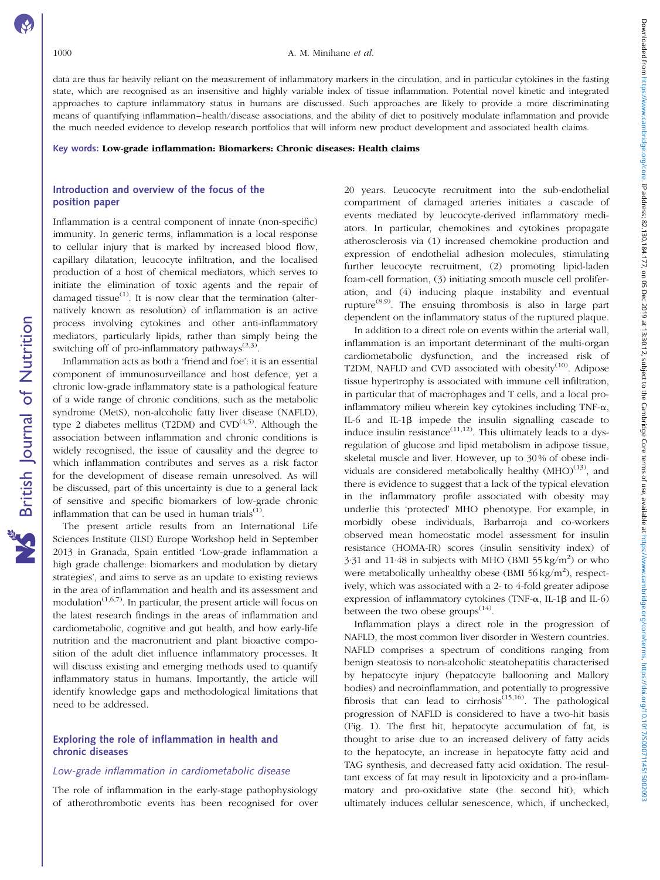**NS** British Journal of Nutrition

data are thus far heavily reliant on the measurement of inflammatory markers in the circulation, and in particular cytokines in the fasting state, which are recognised as an insensitive and highly variable index of tissue inflammation. Potential novel kinetic and integrated approaches to capture inflammatory status in humans are discussed. Such approaches are likely to provide a more discriminating means of quantifying inflammation–health/disease associations, and the ability of diet to positively modulate inflammation and provide the much needed evidence to develop research portfolios that will inform new product development and associated health claims.

### Key words: Low-grade inflammation: Biomarkers: Chronic diseases: Health claims

# Introduction and overview of the focus of the position paper

Inflammation is a central component of innate (non-specific) immunity. In generic terms, inflammation is a local response to cellular injury that is marked by increased blood flow, capillary dilatation, leucocyte infiltration, and the localised production of a host of chemical mediators, which serves to initiate the elimination of toxic agents and the repair of damaged tissue $^{(1)}$ . It is now clear that the termination (alternatively known as resolution) of inflammation is an active process involving cytokines and other anti-inflammatory mediators, particularly lipids, rather than simply being the switching off of pro-inflammatory pathways $(2,3)$ .

Inflammation acts as both a 'friend and foe': it is an essential component of immunosurveillance and host defence, yet a chronic low-grade inflammatory state is a pathological feature of a wide range of chronic conditions, such as the metabolic syndrome (MetS), non-alcoholic fatty liver disease (NAFLD), type 2 diabetes mellitus (T2DM) and  $CVD^{(4,5)}$ . Although the association between inflammation and chronic conditions is widely recognised, the issue of causality and the degree to which inflammation contributes and serves as a risk factor for the development of disease remain unresolved. As will be discussed, part of this uncertainty is due to a general lack of sensitive and specific biomarkers of low-grade chronic inflammation that can be used in human trials<sup>(1)</sup>.

The present article results from an International Life Sciences Institute (ILSI) Europe Workshop held in September 2013 in Granada, Spain entitled 'Low-grade inflammation a high grade challenge: biomarkers and modulation by dietary strategies', and aims to serve as an update to existing reviews in the area of inflammation and health and its assessment and modulation<sup> $(1,6,7)$ </sup>. In particular, the present article will focus on the latest research findings in the areas of inflammation and cardiometabolic, cognitive and gut health, and how early-life nutrition and the macronutrient and plant bioactive composition of the adult diet influence inflammatory processes. It will discuss existing and emerging methods used to quantify inflammatory status in humans. Importantly, the article will identify knowledge gaps and methodological limitations that need to be addressed.

### Exploring the role of inflammation in health and chronic diseases

#### Low-grade inflammation in cardiometabolic disease

The role of inflammation in the early-stage pathophysiology of atherothrombotic events has been recognised for over

20 years. Leucocyte recruitment into the sub-endothelial compartment of damaged arteries initiates a cascade of events mediated by leucocyte-derived inflammatory mediators. In particular, chemokines and cytokines propagate atherosclerosis via (1) increased chemokine production and expression of endothelial adhesion molecules, stimulating further leucocyte recruitment, (2) promoting lipid-laden foam-cell formation, (3) initiating smooth muscle cell proliferation, and (4) inducing plaque instability and eventual rupture<sup> $(8,9)$ </sup>. The ensuing thrombosis is also in large part dependent on the inflammatory status of the ruptured plaque.

In addition to a direct role on events within the arterial wall, inflammation is an important determinant of the multi-organ cardiometabolic dysfunction, and the increased risk of T2DM, NAFLD and CVD associated with obesity<sup>(10)</sup>. Adipose tissue hypertrophy is associated with immune cell infiltration, in particular that of macrophages and T cells, and a local proinflammatory milieu wherein key cytokines including TNF- $\alpha$ , IL-6 and IL-1b impede the insulin signalling cascade to induce insulin resistance<sup> $(11,12)$ </sup>. This ultimately leads to a dysregulation of glucose and lipid metabolism in adipose tissue, skeletal muscle and liver. However, up to 30 % of obese individuals are considered metabolically healthy  $(MHO)^{(13)}$ , and there is evidence to suggest that a lack of the typical elevation in the inflammatory profile associated with obesity may underlie this 'protected' MHO phenotype. For example, in morbidly obese individuals, Barbarroja and co-workers observed mean homeostatic model assessment for insulin resistance (HOMA-IR) scores (insulin sensitivity index) of  $3.31$  and  $11.48$  in subjects with MHO (BMI 55 kg/m<sup>2</sup>) or who were metabolically unhealthy obese (BMI  $56 \text{ kg/m}^2$ ), respectively, which was associated with a 2- to 4-fold greater adipose expression of inflammatory cytokines (TNF- $\alpha$ , IL-1 $\beta$  and IL-6) between the two obese groups $(14)$ .

Inflammation plays a direct role in the progression of NAFLD, the most common liver disorder in Western countries. NAFLD comprises a spectrum of conditions ranging from benign steatosis to non-alcoholic steatohepatitis characterised by hepatocyte injury (hepatocyte ballooning and Mallory bodies) and necroinflammation, and potentially to progressive fibrosis that can lead to cirrhosis<sup> $(15,16)$ </sup>. The pathological progression of NAFLD is considered to have a two-hit basis [\(Fig. 1](#page-2-0)). The first hit, hepatocyte accumulation of fat, is thought to arise due to an increased delivery of fatty acids to the hepatocyte, an increase in hepatocyte fatty acid and TAG synthesis, and decreased fatty acid oxidation. The resultant excess of fat may result in lipotoxicity and a pro-inflammatory and pro-oxidative state (the second hit), which ultimately induces cellular senescence, which, if unchecked,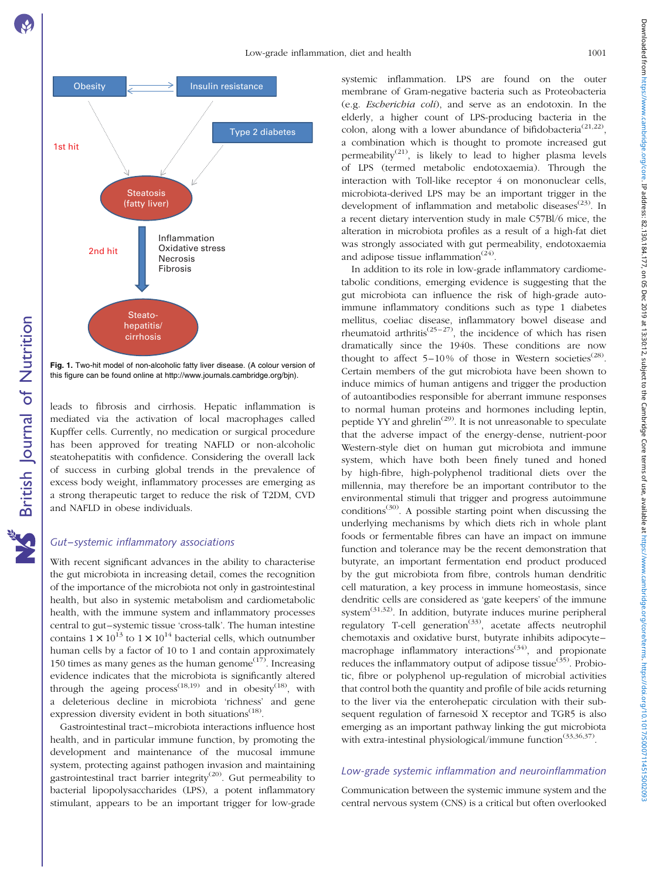**NS** British Journal of Nutrition

<span id="page-2-0"></span>

Fig. 1. Two-hit model of non-alcoholic fatty liver disease. (A colour version of this figure can be found online at http://www.journals.cambridge.org/bjn).

leads to fibrosis and cirrhosis. Hepatic inflammation is mediated via the activation of local macrophages called Kupffer cells. Currently, no medication or surgical procedure has been approved for treating NAFLD or non-alcoholic steatohepatitis with confidence. Considering the overall lack of success in curbing global trends in the prevalence of excess body weight, inflammatory processes are emerging as a strong therapeutic target to reduce the risk of T2DM, CVD and NAFLD in obese individuals.

#### Gut– systemic inflammatory associations

With recent significant advances in the ability to characterise the gut microbiota in increasing detail, comes the recognition of the importance of the microbiota not only in gastrointestinal health, but also in systemic metabolism and cardiometabolic health, with the immune system and inflammatory processes central to gut–systemic tissue 'cross-talk'. The human intestine contains  $1 \times 10^{13}$  to  $1 \times 10^{14}$  bacterial cells, which outnumber human cells by a factor of 10 to 1 and contain approximately 150 times as many genes as the human genome<sup> $(17)$ </sup>. Increasing evidence indicates that the microbiota is significantly altered through the ageing process<sup>(18,19)</sup> and in obesity<sup>(18)</sup>, with a deleterious decline in microbiota 'richness' and gene expression diversity evident in both situations<sup>(18)</sup>.

Gastrointestinal tract–microbiota interactions influence host health, and in particular immune function, by promoting the development and maintenance of the mucosal immune system, protecting against pathogen invasion and maintaining gastrointestinal tract barrier integrity<sup>(20)</sup>. Gut permeability to bacterial lipopolysaccharides (LPS), a potent inflammatory stimulant, appears to be an important trigger for low-grade systemic inflammation. LPS are found on the outer membrane of Gram-negative bacteria such as Proteobacteria (e.g. Escherichia coli), and serve as an endotoxin. In the elderly, a higher count of LPS-producing bacteria in the colon, along with a lower abundance of bifidobacteria<sup>(21,22)</sup>, a combination which is thought to promote increased gut permeability<sup>(21)</sup>, is likely to lead to higher plasma levels of LPS (termed metabolic endotoxaemia). Through the interaction with Toll-like receptor 4 on mononuclear cells, microbiota-derived LPS may be an important trigger in the development of inflammation and metabolic diseases<sup> $(23)$ </sup>. In a recent dietary intervention study in male C57Bl/6 mice, the alteration in microbiota profiles as a result of a high-fat diet was strongly associated with gut permeability, endotoxaemia and adipose tissue inflammation $(24)$ .

In addition to its role in low-grade inflammatory cardiometabolic conditions, emerging evidence is suggesting that the gut microbiota can influence the risk of high-grade autoimmune inflammatory conditions such as type 1 diabetes mellitus, coeliac disease, inflammatory bowel disease and rheumatoid arthritis<sup>(25–27)</sup>, the incidence of which has risen dramatically since the 1940s. These conditions are now thought to affect  $5-10\%$  of those in Western societies<sup>(28)</sup>. Certain members of the gut microbiota have been shown to induce mimics of human antigens and trigger the production of autoantibodies responsible for aberrant immune responses to normal human proteins and hormones including leptin, peptide YY and ghrelin<sup> $(29)$ </sup>. It is not unreasonable to speculate that the adverse impact of the energy-dense, nutrient-poor Western-style diet on human gut microbiota and immune system, which have both been finely tuned and honed by high-fibre, high-polyphenol traditional diets over the millennia, may therefore be an important contributor to the environmental stimuli that trigger and progress autoimmune conditions<sup> $(30)$ </sup>. A possible starting point when discussing the underlying mechanisms by which diets rich in whole plant foods or fermentable fibres can have an impact on immune function and tolerance may be the recent demonstration that butyrate, an important fermentation end product produced by the gut microbiota from fibre, controls human dendritic cell maturation, a key process in immune homeostasis, since dendritic cells are considered as 'gate keepers' of the immune system $(31,32)$ . In addition, butyrate induces murine peripheral regulatory T-cell generation<sup> $(33)$ </sup>, acetate affects neutrophil chemotaxis and oxidative burst, butyrate inhibits adipocyte– macrophage inflammatory interactions<sup> $(34)$ </sup>, and propionate reduces the inflammatory output of adipose tissue<sup>(35)</sup>. Probiotic, fibre or polyphenol up-regulation of microbial activities that control both the quantity and profile of bile acids returning to the liver via the enterohepatic circulation with their subsequent regulation of farnesoid X receptor and TGR5 is also emerging as an important pathway linking the gut microbiota with extra-intestinal physiological/immune function<sup> $(33,36,37)$ </sup>.

### Low-grade systemic inflammation and neuroinflammation

Communication between the systemic immune system and the central nervous system (CNS) is a critical but often overlooked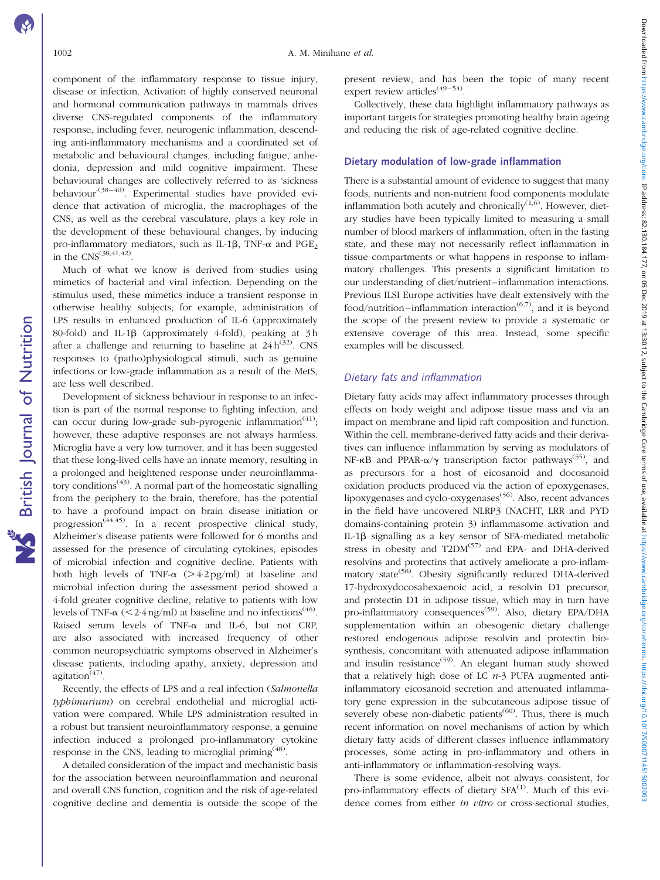**NS** British Journal of Nutrition

component of the inflammatory response to tissue injury, disease or infection. Activation of highly conserved neuronal and hormonal communication pathways in mammals drives diverse CNS-regulated components of the inflammatory response, including fever, neurogenic inflammation, descending anti-inflammatory mechanisms and a coordinated set of metabolic and behavioural changes, including fatigue, anhedonia, depression and mild cognitive impairment. These behavioural changes are collectively referred to as 'sickness behaviour'(38–40). Experimental studies have provided evidence that activation of microglia, the macrophages of the CNS, as well as the cerebral vasculature, plays a key role in the development of these behavioural changes, by inducing pro-inflammatory mediators, such as IL-1 $\beta$ , TNF- $\alpha$  and PGE<sub>2</sub> in the  $CNS^{(38, 41, 42)}$ .

Much of what we know is derived from studies using mimetics of bacterial and viral infection. Depending on the stimulus used, these mimetics induce a transient response in otherwise healthy subjects; for example, administration of LPS results in enhanced production of IL-6 (approximately 80-fold) and IL-1 $\beta$  (approximately 4-fold), peaking at 3h after a challenge and returning to baseline at  $24 h^{(32)}$ . CNS responses to (patho)physiological stimuli, such as genuine infections or low-grade inflammation as a result of the MetS, are less well described.

Development of sickness behaviour in response to an infection is part of the normal response to fighting infection, and can occur during low-grade sub-pyrogenic inflammation $^{(41)}$ ; however, these adaptive responses are not always harmless. Microglia have a very low turnover, and it has been suggested that these long-lived cells have an innate memory, resulting in a prolonged and heightened response under neuroinflammatory conditions<sup> $(43)$ </sup>. A normal part of the homeostatic signalling from the periphery to the brain, therefore, has the potential to have a profound impact on brain disease initiation or progression<sup> $(44,45)$ </sup>. In a recent prospective clinical study, Alzheimer's disease patients were followed for 6 months and assessed for the presence of circulating cytokines, episodes of microbial infection and cognitive decline. Patients with both high levels of TNF- $\alpha$  (>4·2 pg/ml) at baseline and microbial infection during the assessment period showed a 4-fold greater cognitive decline, relative to patients with low levels of TNF- $\alpha$  (<2·4 ng/ml) at baseline and no infections<sup>(46)</sup>. Raised serum levels of TNF- $\alpha$  and IL-6, but not CRP, are also associated with increased frequency of other common neuropsychiatric symptoms observed in Alzheimer's disease patients, including apathy, anxiety, depression and agitation $(47)$ .

Recently, the effects of LPS and a real infection (Salmonella typhimurium) on cerebral endothelial and microglial activation were compared. While LPS administration resulted in a robust but transient neuroinflammatory response, a genuine infection induced a prolonged pro-inflammatory cytokine response in the CNS, leading to microglial priming<sup>(48)</sup>.

A detailed consideration of the impact and mechanistic basis for the association between neuroinflammation and neuronal and overall CNS function, cognition and the risk of age-related cognitive decline and dementia is outside the scope of the present review, and has been the topic of many recent expert review articles<sup>(49-54)</sup>.

Collectively, these data highlight inflammatory pathways as important targets for strategies promoting healthy brain ageing and reducing the risk of age-related cognitive decline.

#### Dietary modulation of low-grade inflammation

There is a substantial amount of evidence to suggest that many foods, nutrients and non-nutrient food components modulate inflammation both acutely and chronically $(1,6)$ . However, dietary studies have been typically limited to measuring a small number of blood markers of inflammation, often in the fasting state, and these may not necessarily reflect inflammation in tissue compartments or what happens in response to inflammatory challenges. This presents a significant limitation to our understanding of diet/nutrient–inflammation interactions. Previous ILSI Europe activities have dealt extensively with the food/nutrition–inflammation interaction<sup> $(6,7)$ </sup>, and it is beyond the scope of the present review to provide a systematic or extensive coverage of this area. Instead, some specific examples will be discussed.

#### Dietary fats and inflammation

Dietary fatty acids may affect inflammatory processes through effects on body weight and adipose tissue mass and via an impact on membrane and lipid raft composition and function. Within the cell, membrane-derived fatty acids and their derivatives can influence inflammation by serving as modulators of NF- $\kappa$ B and PPAR- $\alpha/\gamma$  transcription factor pathways<sup>(55)</sup>, and as precursors for a host of eicosanoid and docosanoid oxidation products produced via the action of epoxygenases, lipoxygenases and cyclo-oxygenases<sup>(56)</sup>. Also, recent advances in the field have uncovered NLRP3 (NACHT, LRR and PYD domains-containing protein 3) inflammasome activation and IL-1b signalling as a key sensor of SFA-mediated metabolic stress in obesity and T2DM<sup>(57)</sup> and EPA- and DHA-derived resolvins and protectins that actively ameliorate a pro-inflammatory state<sup>(58)</sup>. Obesity significantly reduced DHA-derived 17-hydroxydocosahexaenoic acid, a resolvin D1 precursor, and protectin D1 in adipose tissue, which may in turn have pro-inflammatory consequences<sup>(59)</sup>. Also, dietary EPA/DHA supplementation within an obesogenic dietary challenge restored endogenous adipose resolvin and protectin biosynthesis, concomitant with attenuated adipose inflammation and insulin resistance<sup> $(59)$ </sup>. An elegant human study showed that a relatively high dose of LC  $n-3$  PUFA augmented antiinflammatory eicosanoid secretion and attenuated inflammatory gene expression in the subcutaneous adipose tissue of severely obese non-diabetic patients<sup>(60)</sup>. Thus, there is much recent information on novel mechanisms of action by which dietary fatty acids of different classes influence inflammatory processes, some acting in pro-inflammatory and others in anti-inflammatory or inflammation-resolving ways.

There is some evidence, albeit not always consistent, for pro-inflammatory effects of dietary  $SFA^{(1)}$ . Much of this evidence comes from either in vitro or cross-sectional studies,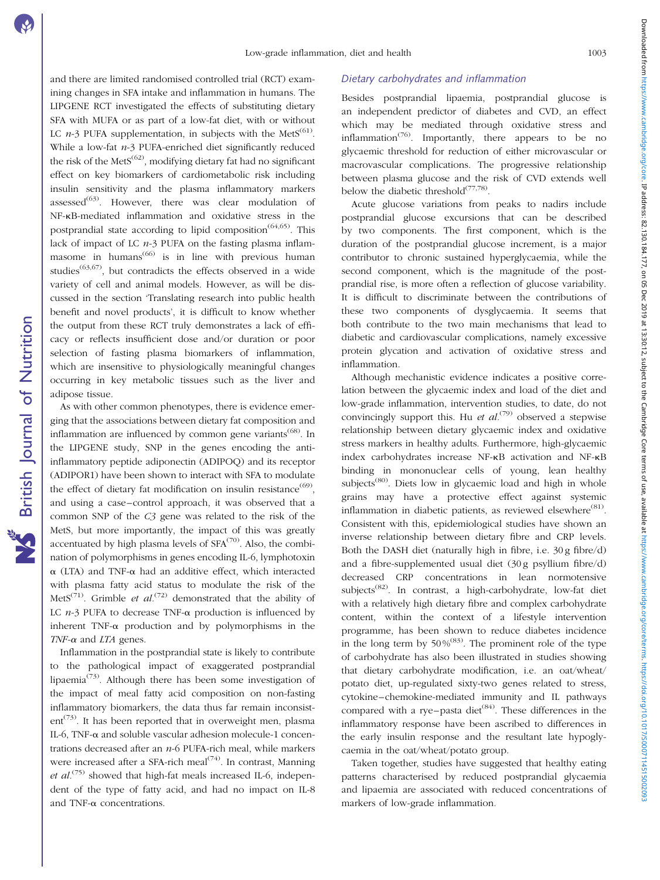and there are limited randomised controlled trial (RCT) examining changes in SFA intake and inflammation in humans. The LIPGENE RCT investigated the effects of substituting dietary SFA with MUFA or as part of a low-fat diet, with or without LC  $n-3$  PUFA supplementation, in subjects with the Met $S^{(61)}$ . While a low-fat  $n-3$  PUFA-enriched diet significantly reduced the risk of the Met $S^{(62)}$ , modifying dietary fat had no significant effect on key biomarkers of cardiometabolic risk including insulin sensitivity and the plasma inflammatory markers assessed<sup>(63)</sup>. However, there was clear modulation of NF-kB-mediated inflammation and oxidative stress in the postprandial state according to lipid composition<sup> $(64,65)$ </sup>. This lack of impact of LC  $n-3$  PUFA on the fasting plasma inflammasome in humans<sup>(66)</sup> is in line with previous human studies<sup>(63,67)</sup>, but contradicts the effects observed in a wide variety of cell and animal models. However, as will be discussed in the section 'Translating research into public health benefit and novel products', it is difficult to know whether the output from these RCT truly demonstrates a lack of efficacy or reflects insufficient dose and/or duration or poor selection of fasting plasma biomarkers of inflammation, which are insensitive to physiologically meaningful changes occurring in key metabolic tissues such as the liver and adipose tissue.

As with other common phenotypes, there is evidence emerging that the associations between dietary fat composition and inflammation are influenced by common gene variants<sup> $(68)$ </sup>. In the LIPGENE study, SNP in the genes encoding the antiinflammatory peptide adiponectin (ADIPOQ) and its receptor (ADIPOR1) have been shown to interact with SFA to modulate the effect of dietary fat modification on insulin resistance<sup>(69)</sup>, and using a case–control approach, it was observed that a common SNP of the C3 gene was related to the risk of the MetS, but more importantly, the impact of this was greatly accentuated by high plasma levels of  $SFA^{(70)}$ . Also, the combination of polymorphisms in genes encoding IL-6, lymphotoxin  $\alpha$  (LTA) and TNF- $\alpha$  had an additive effect, which interacted with plasma fatty acid status to modulate the risk of the MetS<sup>(71)</sup>. Grimble *et al.*<sup>(72)</sup> demonstrated that the ability of LC  $n-3$  PUFA to decrease TNF- $\alpha$  production is influenced by inherent TNF- $\alpha$  production and by polymorphisms in the  $TNF-\alpha$  and  $LTA$  genes.

British Journal of Nutrition

**NS** British Journal of Nutrition

Inflammation in the postprandial state is likely to contribute to the pathological impact of exaggerated postprandial lipaemia<sup>(73)</sup>. Although there has been some investigation of the impact of meal fatty acid composition on non-fasting inflammatory biomarkers, the data thus far remain inconsist $ent^{(73)}$ . It has been reported that in overweight men, plasma IL-6, TNF- $\alpha$  and soluble vascular adhesion molecule-1 concentrations decreased after an  $n-6$  PUFA-rich meal, while markers were increased after a SFA-rich meal<sup> $(74)$ </sup>. In contrast, Manning et  $al^{(75)}$  showed that high-fat meals increased IL-6, independent of the type of fatty acid, and had no impact on IL-8 and TNF- $\alpha$  concentrations.

#### Dietary carbohydrates and inflammation

Besides postprandial lipaemia, postprandial glucose is an independent predictor of diabetes and CVD, an effect which may be mediated through oxidative stress and inflammation<sup> $(76)$ </sup>. Importantly, there appears to be no glycaemic threshold for reduction of either microvascular or macrovascular complications. The progressive relationship between plasma glucose and the risk of CVD extends well below the diabetic threshold $^{(77,78)}$ .

Acute glucose variations from peaks to nadirs include postprandial glucose excursions that can be described by two components. The first component, which is the duration of the postprandial glucose increment, is a major contributor to chronic sustained hyperglycaemia, while the second component, which is the magnitude of the postprandial rise, is more often a reflection of glucose variability. It is difficult to discriminate between the contributions of these two components of dysglycaemia. It seems that both contribute to the two main mechanisms that lead to diabetic and cardiovascular complications, namely excessive protein glycation and activation of oxidative stress and inflammation.

Although mechanistic evidence indicates a positive correlation between the glycaemic index and load of the diet and low-grade inflammation, intervention studies, to date, do not convincingly support this. Hu et  $al^{(79)}$  observed a stepwise relationship between dietary glycaemic index and oxidative stress markers in healthy adults. Furthermore, high-glycaemic index carbohydrates increase NF-kB activation and NF-kB binding in mononuclear cells of young, lean healthy subjects<sup>(80)</sup>. Diets low in glycaemic load and high in whole grains may have a protective effect against systemic inflammation in diabetic patients, as reviewed elsewhere<sup>(81)</sup>. Consistent with this, epidemiological studies have shown an inverse relationship between dietary fibre and CRP levels. Both the DASH diet (naturally high in fibre, i.e. 30 g fibre/d) and a fibre-supplemented usual diet (30 g psyllium fibre/d) decreased CRP concentrations in lean normotensive subjects<sup>(82)</sup>. In contrast, a high-carbohydrate, low-fat diet with a relatively high dietary fibre and complex carbohydrate content, within the context of a lifestyle intervention programme, has been shown to reduce diabetes incidence in the long term by  $50\%^{(83)}$ . The prominent role of the type of carbohydrate has also been illustrated in studies showing that dietary carbohydrate modification, i.e. an oat/wheat/ potato diet, up-regulated sixty-two genes related to stress, cytokine–chemokine-mediated immunity and IL pathways compared with a rye–pasta diet $^{(84)}$ . These differences in the inflammatory response have been ascribed to differences in the early insulin response and the resultant late hypoglycaemia in the oat/wheat/potato group.

Taken together, studies have suggested that healthy eating patterns characterised by reduced postprandial glycaemia and lipaemia are associated with reduced concentrations of markers of low-grade inflammation.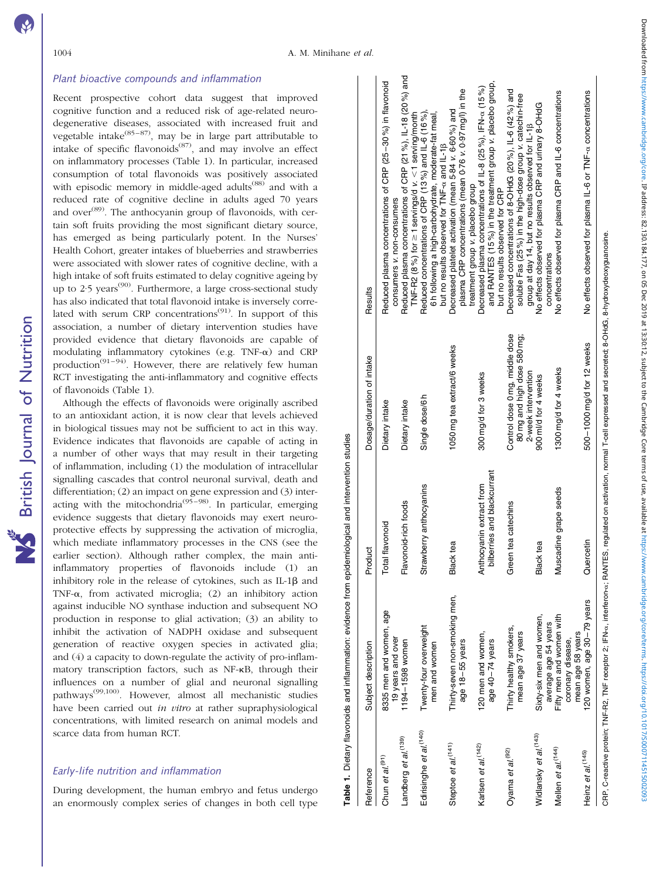**NS** British Journal of Nutrition

## Plant bioactive compounds and inflammation

Recent prospective cohort data suggest that improved cognitive function and a reduced risk of age-related neurodegenerative diseases, associated with increased fruit and vegetable intake $^{(85-87)}$ , may be in large part attributable to intake of specific flavonoids<sup> $(87)$ </sup>, and may involve an effect on inflammatory processes (Table 1). In particular, increased consumption of total flavonoids was positively associated with episodic memory in middle-aged adults<sup>(88)</sup> and with a reduced rate of cognitive decline in adults aged 70 years and over $(89)$ . The anthocyanin group of flavonoids, with certain soft fruits providing the most significant dietary source, has emerged as being particularly potent. In the Nurses' Health Cohort, greater intakes of blueberries and strawberries were associated with slower rates of cognitive decline, with a high intake of soft fruits estimated to delay cognitive ageing by up to  $2.5$  years<sup>(90)</sup>. Furthermore, a large cross-sectional study has also indicated that total flavonoid intake is inversely correlated with serum CRP concentrations<sup> $(91)$ </sup>. In support of this association, a number of dietary intervention studies have provided evidence that dietary flavonoids are capable of modulating inflammatory cytokines (e.g.  $TNF-\alpha$ ) and  $CRP$ production<sup>(91–94)</sup>. However, there are relatively few human RCT investigating the anti-inflammatory and cognitive effects of flavonoids (Table 1).

Although the effects of flavonoids were originally ascribed to an antioxidant action, it is now clear that levels achieved in biological tissues may not be sufficient to act in this way. Evidence indicates that flavonoids are capable of acting in a number of other ways that may result in their targeting of inflammation, including (1) the modulation of intracellular signalling cascades that control neuronal survival, death and differentiation; (2) an impact on gene expression and (3) interacting with the mitochondria<sup>(95-98)</sup>. In particular, emerging evidence suggests that dietary flavonoids may exert neuroprotective effects by suppressing the activation of microglia, which mediate inflammatory processes in the CNS (see the earlier section). Although rather complex, the main antiinflammatory properties of flavonoids include (1) an inhibitory role in the release of cytokines, such as  $IL-1\beta$  and TNF- $\alpha$ , from activated microglia; (2) an inhibitory action against inducible NO synthase induction and subsequent NO production in response to glial activation; (3) an ability to inhibit the activation of NADPH oxidase and subsequent generation of reactive oxygen species in activated glia; and (4) a capacity to down-regulate the activity of pro-inflammatory transcription factors, such as NF-kB, through their influences on a number of glial and neuronal signalling pathways(99,100). However, almost all mechanistic studies have been carried out *in vitro* at rather supraphysiological concentrations, with limited research on animal models and scarce data from human RCT.

# Early-life nutrition and inflammation

During development, the human embryo and fetus undergo an enormously complex series of changes in both cell type

|                                     | Table 1. Dietary flavonoids and inflammation: evidence from epidemiological and intervention studies                                                                   |                                                         |                                                                                      |                                                                                                                                                                              |
|-------------------------------------|------------------------------------------------------------------------------------------------------------------------------------------------------------------------|---------------------------------------------------------|--------------------------------------------------------------------------------------|------------------------------------------------------------------------------------------------------------------------------------------------------------------------------|
| Reference                           | Subject description                                                                                                                                                    | Product                                                 | Dosage/duration of intake                                                            | Results                                                                                                                                                                      |
| Chun et al. <sup>(91)</sup>         | 8335 men and women, age<br>19 years and over                                                                                                                           | <b>Total flavonoid</b>                                  | Dietary intake                                                                       | Reduced plasma concentrations of CRP (25-30%) in flavonoid<br>consumers v. non-consumers                                                                                     |
| Landberg et al. <sup>(139)</sup>    | 1194-1598 women                                                                                                                                                        | Flavonoid-rich foods                                    | Dietary intake                                                                       | Reduced plasma concentrations of CRP (21 %), IL-18 (20 %) and<br>TNF-R2 (8%) for $\geq$ 1 servings/d v. $<$ 1 serving/month                                                  |
| Edirisinghe et al. <sup>(140)</sup> | Twenty-four overweight<br>men and women                                                                                                                                | Strawberry anthocyanins                                 | Single dose/6h                                                                       | Reduced concentrations of CRP (13%) and IL-6 (16%),<br>6h following a high-carbohydrate, moderate-fat meal,<br>but no results observed for TNF- $\alpha$ and IL-18           |
| Steptoe et al. <sup>(141)</sup>     | Thirty-seven non-smoking men,<br>age 18-55 years                                                                                                                       | Black tea                                               | 1050 mg tea extract/6 weeks                                                          | plasma CRP concentrations (mean 0-76 v. 0-97 mg/l) in the<br>Decreased platelet activation (mean 5-84 v. 6-60%) and<br>treatment group v. placebo group                      |
| Karlsen et al. <sup>(142)</sup>     | 120 men and women,<br>age 40-74 years                                                                                                                                  | bilberries and blackcurrant<br>Anthocyanin extract from | 300 mg/d for 3 weeks                                                                 | and RANTES (15%) in the treatment group v. placebo group,<br>Decreased plasma concentrations of IL-8 (25%), IFN-a (15%)<br>but no results observed for CRP                   |
| Oyama et al. <sup>(92)</sup>        | Thirty healthy smokers,<br>mean age 37 years                                                                                                                           | Green tea catechins                                     | Control dose 0 mg, middle dose<br>80 mg and high dose 580 mg;<br>2-week intervention | Decreased concentrations of 8-OHdG (20%), IL-6 (42%) and<br>soluble Fas (25 %) in the high-dose group v. catechin-tree<br>group at day 14, but no results observed for IL-18 |
| Widlansky et al. <sup>(143)</sup>   | Sixty-six men and women,                                                                                                                                               | Black tea                                               | 900 ml/d for 4 weeks                                                                 | No effects observed for plasma CRP and urinary 8-OHdG                                                                                                                        |
| Mellen et al. <sup>(144)</sup>      | Fifty men and women with<br>average age 54 years<br>coronary disease,                                                                                                  | Muscadine grape seeds                                   | 1300 mg/d for 4 weeks                                                                | No effects observed for plasma CRP and IL-6 concentrations<br>concentrations                                                                                                 |
| Heinz et al. <sup>(145)</sup>       | 20 women, age 30-79 years<br>mean age 58 years                                                                                                                         | Quercetin                                               | 500-1000 mg/d for 12 weeks                                                           | No effects observed for plasma IL-6 or TNF- $\alpha$ concentrations                                                                                                          |
|                                     | CRP, C-readive protein; TNF-R2, TNF receptor 2; IFN-x, interferon-x; RANTES, regulated on activation, normal T-cell expressed and secreted; 8-OHdG, 8-hydroxydenosine. |                                                         |                                                                                      |                                                                                                                                                                              |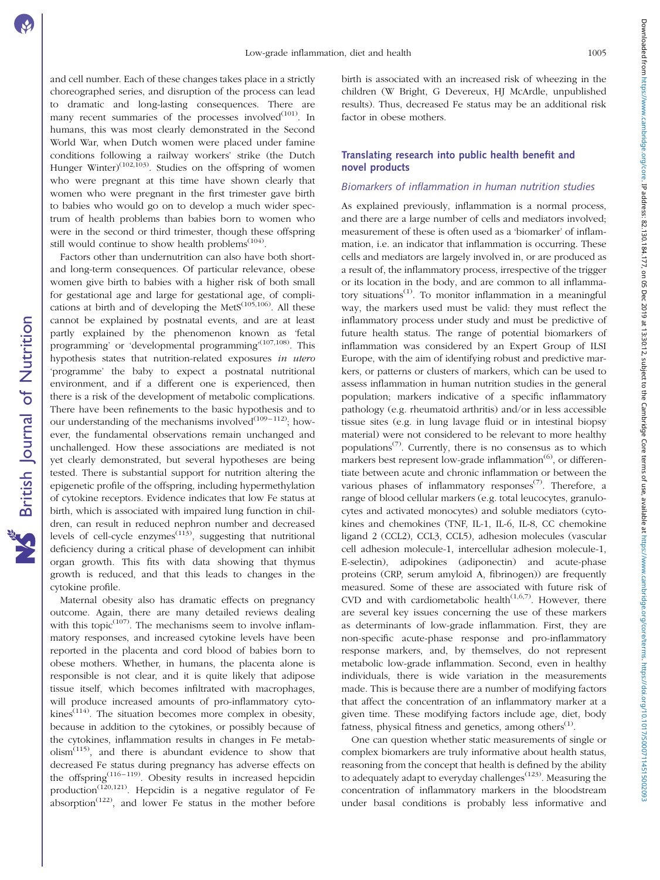Downloaded from https://www.cambridge.org/core. IP address: 82.130.137, 100 Bec 2019 at 13:30:12, subject to the Cambridge Core terms of use, available at https://www.cambridge.org/core/terms. https://www.cambridge.org/cor Downloaded from https://www.cambrige.org/tore.i9-addiss.82.130.18- top Bec-2019 at 13:30:12, subject to the Cambrige Core terms of use, available at https://www.cambrige.org/core/rems.intps://www.cambrige.org/core/rems.int

choreographed series, and disruption of the process can lead to dramatic and long-lasting consequences. There are many recent summaries of the processes involved<sup>(101)</sup>. In humans, this was most clearly demonstrated in the Second World War, when Dutch women were placed under famine conditions following a railway workers' strike (the Dutch Hunger Winter)<sup>(102,103)</sup>. Studies on the offspring of women who were pregnant at this time have shown clearly that women who were pregnant in the first trimester gave birth to babies who would go on to develop a much wider spectrum of health problems than babies born to women who were in the second or third trimester, though these offspring still would continue to show health problems<sup> $(104)$ </sup>.

Factors other than undernutrition can also have both shortand long-term consequences. Of particular relevance, obese women give birth to babies with a higher risk of both small for gestational age and large for gestational age, of complications at birth and of developing the Met $S^{(105,106)}$ . All these cannot be explained by postnatal events, and are at least partly explained by the phenomenon known as 'fetal programming' or 'developmental programming'<sup>(107,108)</sup>. This hypothesis states that nutrition-related exposures in utero 'programme' the baby to expect a postnatal nutritional environment, and if a different one is experienced, then there is a risk of the development of metabolic complications. There have been refinements to the basic hypothesis and to our understanding of the mechanisms involved $(109-112)$ ; however, the fundamental observations remain unchanged and unchallenged. How these associations are mediated is not yet clearly demonstrated, but several hypotheses are being tested. There is substantial support for nutrition altering the epigenetic profile of the offspring, including hypermethylation of cytokine receptors. Evidence indicates that low Fe status at birth, which is associated with impaired lung function in children, can result in reduced nephron number and decreased levels of cell-cycle enzymes<sup> $(113)$ </sup>, suggesting that nutritional deficiency during a critical phase of development can inhibit organ growth. This fits with data showing that thymus growth is reduced, and that this leads to changes in the cytokine profile.

Maternal obesity also has dramatic effects on pregnancy outcome. Again, there are many detailed reviews dealing with this topic<sup> $(107)$ </sup>. The mechanisms seem to involve inflammatory responses, and increased cytokine levels have been reported in the placenta and cord blood of babies born to obese mothers. Whether, in humans, the placenta alone is responsible is not clear, and it is quite likely that adipose tissue itself, which becomes infiltrated with macrophages, will produce increased amounts of pro-inflammatory cytokines<sup> $(114)$ </sup>. The situation becomes more complex in obesity, because in addition to the cytokines, or possibly because of the cytokines, inflammation results in changes in Fe metabolism(115), and there is abundant evidence to show that decreased Fe status during pregnancy has adverse effects on the offspring<sup> $(116-119)$ </sup>. Obesity results in increased hepcidin production<sup>(120,121)</sup>. Hepcidin is a negative regulator of Fe absorption<sup> $(122)$ </sup>, and lower Fe status in the mother before birth is associated with an increased risk of wheezing in the children (W Bright, G Devereux, HJ McArdle, unpublished results). Thus, decreased Fe status may be an additional risk factor in obese mothers.

# Translating research into public health benefit and novel products

## Biomarkers of inflammation in human nutrition studies

As explained previously, inflammation is a normal process, and there are a large number of cells and mediators involved; measurement of these is often used as a 'biomarker' of inflammation, i.e. an indicator that inflammation is occurring. These cells and mediators are largely involved in, or are produced as a result of, the inflammatory process, irrespective of the trigger or its location in the body, and are common to all inflammatory situations<sup> $(1)$ </sup>. To monitor inflammation in a meaningful way, the markers used must be valid: they must reflect the inflammatory process under study and must be predictive of future health status. The range of potential biomarkers of inflammation was considered by an Expert Group of ILSI Europe, with the aim of identifying robust and predictive markers, or patterns or clusters of markers, which can be used to assess inflammation in human nutrition studies in the general population; markers indicative of a specific inflammatory pathology (e.g. rheumatoid arthritis) and/or in less accessible tissue sites (e.g. in lung lavage fluid or in intestinal biopsy material) were not considered to be relevant to more healthy populations<sup> $(7)$ </sup>. Currently, there is no consensus as to which markers best represent low-grade inflammation $^{(6)}$ , or differentiate between acute and chronic inflammation or between the various phases of inflammatory responses<sup> $(7)$ </sup>. Therefore, a range of blood cellular markers (e.g. total leucocytes, granulocytes and activated monocytes) and soluble mediators (cytokines and chemokines (TNF, IL-1, IL-6, IL-8, CC chemokine ligand 2 (CCL2), CCL3, CCL5), adhesion molecules (vascular cell adhesion molecule-1, intercellular adhesion molecule-1, E-selectin), adipokines (adiponectin) and acute-phase proteins (CRP, serum amyloid A, fibrinogen)) are frequently measured. Some of these are associated with future risk of CVD and with cardiometabolic health<sup> $(1,6,7)$ </sup>. However, there are several key issues concerning the use of these markers as determinants of low-grade inflammation. First, they are non-specific acute-phase response and pro-inflammatory response markers, and, by themselves, do not represent metabolic low-grade inflammation. Second, even in healthy individuals, there is wide variation in the measurements made. This is because there are a number of modifying factors that affect the concentration of an inflammatory marker at a given time. These modifying factors include age, diet, body fatness, physical fitness and genetics, among others $<sup>(1)</sup>$ .</sup>

One can question whether static measurements of single or complex biomarkers are truly informative about health status, reasoning from the concept that health is defined by the ability to adequately adapt to everyday challenges<sup> $(123)$ </sup>. Measuring the concentration of inflammatory markers in the bloodstream under basal conditions is probably less informative and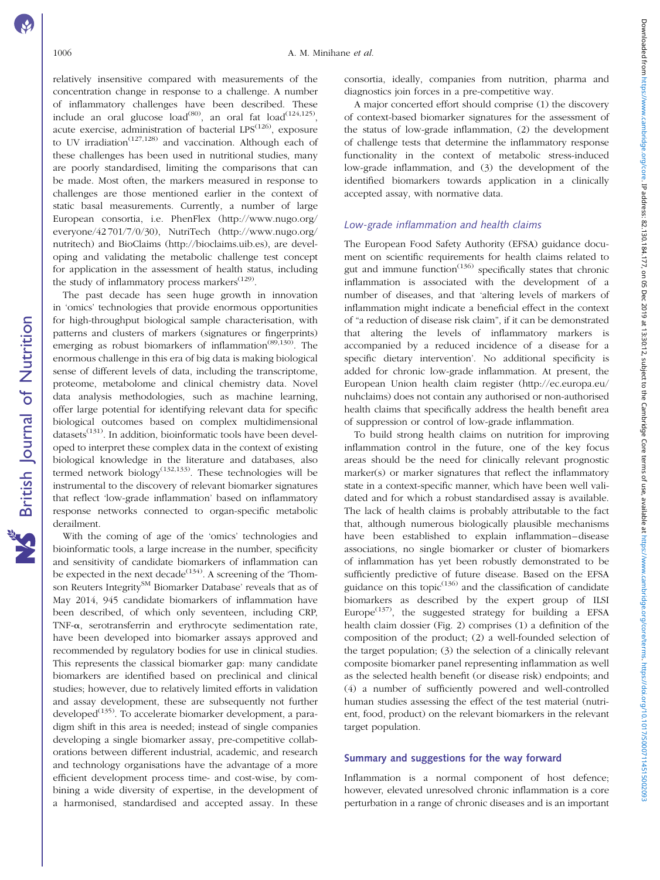**NS** British Journal of Nutrition

relatively insensitive compared with measurements of the concentration change in response to a challenge. A number of inflammatory challenges have been described. These include an oral glucose load<sup>(80)</sup>, an oral fat load<sup>(124,125)</sup> acute exercise, administration of bacterial LPS $^{(126)}$ , exposure to UV irradiation<sup>(127,128)</sup> and vaccination. Although each of these challenges has been used in nutritional studies, many are poorly standardised, limiting the comparisons that can be made. Most often, the markers measured in response to challenges are those mentioned earlier in the context of static basal measurements. Currently, a number of large European consortia, i.e. PhenFlex (http://www.nugo.org/ everyone/42 701/7/0/30), NutriTech (http://www.nugo.org/ nutritech) and BioClaims (http://bioclaims.uib.es), are developing and validating the metabolic challenge test concept for application in the assessment of health status, including the study of inflammatory process markers<sup>(129)</sup>.

The past decade has seen huge growth in innovation in 'omics' technologies that provide enormous opportunities for high-throughput biological sample characterisation, with patterns and clusters of markers (signatures or fingerprints) emerging as robust biomarkers of inflammation<sup>(89,130)</sup>. The enormous challenge in this era of big data is making biological sense of different levels of data, including the transcriptome, proteome, metabolome and clinical chemistry data. Novel data analysis methodologies, such as machine learning, offer large potential for identifying relevant data for specific biological outcomes based on complex multidimensional datasets<sup> $(131)$ </sup>. In addition, bioinformatic tools have been developed to interpret these complex data in the context of existing biological knowledge in the literature and databases, also termed network biology<sup>(132,133)</sup>. These technologies will be instrumental to the discovery of relevant biomarker signatures that reflect 'low-grade inflammation' based on inflammatory response networks connected to organ-specific metabolic derailment.

With the coming of age of the 'omics' technologies and bioinformatic tools, a large increase in the number, specificity and sensitivity of candidate biomarkers of inflammation can be expected in the next decade<sup> $(134)$ </sup>. A screening of the 'Thomson Reuters Integrity<sup>SM</sup> Biomarker Database' reveals that as of May 2014, 945 candidate biomarkers of inflammation have been described, of which only seventeen, including CRP, TNF-a, serotransferrin and erythrocyte sedimentation rate, have been developed into biomarker assays approved and recommended by regulatory bodies for use in clinical studies. This represents the classical biomarker gap: many candidate biomarkers are identified based on preclinical and clinical studies; however, due to relatively limited efforts in validation and assay development, these are subsequently not further developed $^{(135)}$ . To accelerate biomarker development, a paradigm shift in this area is needed; instead of single companies developing a single biomarker assay, pre-competitive collaborations between different industrial, academic, and research and technology organisations have the advantage of a more efficient development process time- and cost-wise, by combining a wide diversity of expertise, in the development of a harmonised, standardised and accepted assay. In these consortia, ideally, companies from nutrition, pharma and diagnostics join forces in a pre-competitive way.

A major concerted effort should comprise (1) the discovery of context-based biomarker signatures for the assessment of the status of low-grade inflammation, (2) the development of challenge tests that determine the inflammatory response functionality in the context of metabolic stress-induced low-grade inflammation, and (3) the development of the identified biomarkers towards application in a clinically accepted assay, with normative data.

### Low-grade inflammation and health claims

The European Food Safety Authority (EFSA) guidance document on scientific requirements for health claims related to gut and immune function<sup> $(136)$ </sup> specifically states that chronic inflammation is associated with the development of a number of diseases, and that 'altering levels of markers of inflammation might indicate a beneficial effect in the context of "a reduction of disease risk claim", if it can be demonstrated that altering the levels of inflammatory markers is accompanied by a reduced incidence of a disease for a specific dietary intervention'. No additional specificity is added for chronic low-grade inflammation. At present, the European Union health claim register (http://ec.europa.eu/ nuhclaims) does not contain any authorised or non-authorised health claims that specifically address the health benefit area of suppression or control of low-grade inflammation.

To build strong health claims on nutrition for improving inflammation control in the future, one of the key focus areas should be the need for clinically relevant prognostic marker(s) or marker signatures that reflect the inflammatory state in a context-specific manner, which have been well validated and for which a robust standardised assay is available. The lack of health claims is probably attributable to the fact that, although numerous biologically plausible mechanisms have been established to explain inflammation–disease associations, no single biomarker or cluster of biomarkers of inflammation has yet been robustly demonstrated to be sufficiently predictive of future disease. Based on the EFSA guidance on this topic $(136)$  and the classification of candidate biomarkers as described by the expert group of ILSI Europe<sup> $(137)$ </sup>, the suggested strategy for building a EFSA health claim dossier ([Fig. 2\)](#page-8-0) comprises (1) a definition of the composition of the product; (2) a well-founded selection of the target population; (3) the selection of a clinically relevant composite biomarker panel representing inflammation as well as the selected health benefit (or disease risk) endpoints; and (4) a number of sufficiently powered and well-controlled human studies assessing the effect of the test material (nutrient, food, product) on the relevant biomarkers in the relevant target population.

#### Summary and suggestions for the way forward

Inflammation is a normal component of host defence; however, elevated unresolved chronic inflammation is a core perturbation in a range of chronic diseases and is an important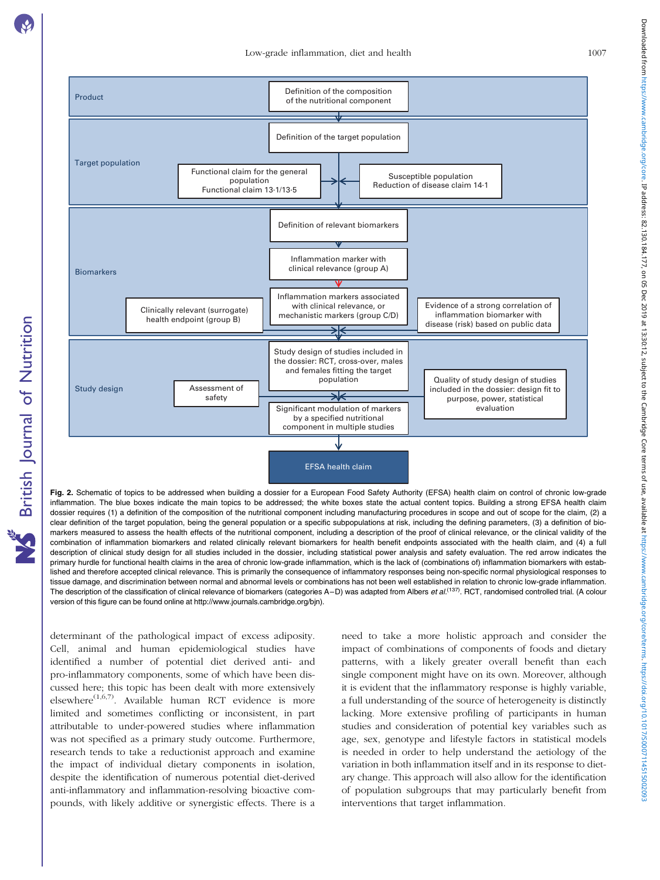<span id="page-8-0"></span>

Fig. 2. Schematic of topics to be addressed when building a dossier for a European Food Safety Authority (EFSA) health claim on control of chronic low-grade inflammation. The blue boxes indicate the main topics to be addressed; the white boxes state the actual content topics. Building a strong EFSA health claim dossier requires (1) a definition of the composition of the nutritional component including manufacturing procedures in scope and out of scope for the claim, (2) a clear definition of the target population, being the general population or a specific subpopulations at risk, including the defining parameters, (3) a definition of biomarkers measured to assess the health effects of the nutritional component, including a description of the proof of clinical relevance, or the clinical validity of the combination of inflammation biomarkers and related clinically relevant biomarkers for health benefit endpoints associated with the health claim, and (4) a full description of clinical study design for all studies included in the dossier, including statistical power analysis and safety evaluation. The red arrow indicates the primary hurdle for functional health claims in the area of chronic low-grade inflammation, which is the lack of (combinations of) inflammation biomarkers with established and therefore accepted clinical relevance. This is primarily the consequence of inflammatory responses being non-specific normal physiological responses to tissue damage, and discrimination between normal and abnormal levels or combinations has not been well established in relation to chronic low-grade inflammation. The description of the classification of clinical relevance of biomarkers (categories A–D) was adapted from Albers et al.<sup>(137)</sup>. RCT, randomised controlled trial. (A colour version of this figure can be found online at http://www.journals.cambridge.org/bjn).

determinant of the pathological impact of excess adiposity. Cell, animal and human epidemiological studies have identified a number of potential diet derived anti- and pro-inflammatory components, some of which have been discussed here; this topic has been dealt with more extensively elsewhere<sup>(1,6,7)</sup>. Available human RCT evidence is more limited and sometimes conflicting or inconsistent, in part attributable to under-powered studies where inflammation was not specified as a primary study outcome. Furthermore, research tends to take a reductionist approach and examine the impact of individual dietary components in isolation, despite the identification of numerous potential diet-derived anti-inflammatory and inflammation-resolving bioactive compounds, with likely additive or synergistic effects. There is a need to take a more holistic approach and consider the impact of combinations of components of foods and dietary patterns, with a likely greater overall benefit than each single component might have on its own. Moreover, although it is evident that the inflammatory response is highly variable, a full understanding of the source of heterogeneity is distinctly lacking. More extensive profiling of participants in human studies and consideration of potential key variables such as age, sex, genotype and lifestyle factors in statistical models is needed in order to help understand the aetiology of the variation in both inflammation itself and in its response to dietary change. This approach will also allow for the identification of population subgroups that may particularly benefit from interventions that target inflammation.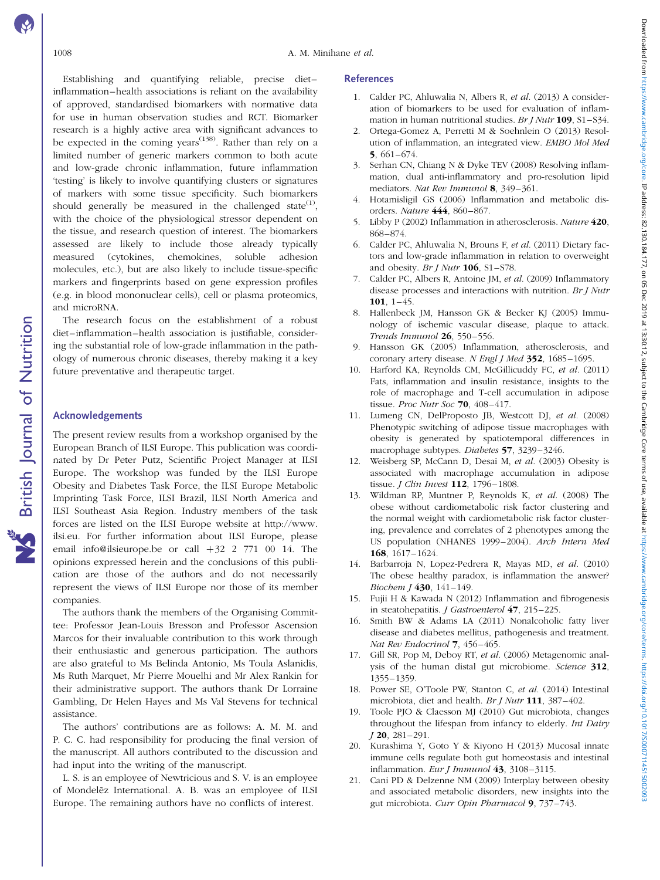Establishing and quantifying reliable, precise diet– inflammation–health associations is reliant on the availability of approved, standardised biomarkers with normative data for use in human observation studies and RCT. Biomarker research is a highly active area with significant advances to be expected in the coming years<sup> $(138)$ </sup>. Rather than rely on a limited number of generic markers common to both acute and low-grade chronic inflammation, future inflammation 'testing' is likely to involve quantifying clusters or signatures of markers with some tissue specificity. Such biomarkers should generally be measured in the challenged state<sup>(1)</sup>, with the choice of the physiological stressor dependent on the tissue, and research question of interest. The biomarkers assessed are likely to include those already typically measured (cytokines, chemokines, soluble adhesion molecules, etc.), but are also likely to include tissue-specific markers and fingerprints based on gene expression profiles (e.g. in blood mononuclear cells), cell or plasma proteomics, and microRNA.

The research focus on the establishment of a robust diet–inflammation–health association is justifiable, considering the substantial role of low-grade inflammation in the pathology of numerous chronic diseases, thereby making it a key future preventative and therapeutic target.

### Acknowledgements

The present review results from a workshop organised by the European Branch of ILSI Europe. This publication was coordinated by Dr Peter Putz, Scientific Project Manager at ILSI Europe. The workshop was funded by the ILSI Europe Obesity and Diabetes Task Force, the ILSI Europe Metabolic Imprinting Task Force, ILSI Brazil, ILSI North America and ILSI Southeast Asia Region. Industry members of the task forces are listed on the ILSI Europe website at http://www. ilsi.eu. For further information about ILSI Europe, please email info@ilsieurope.be or call  $+32$  2 771 00 14. The opinions expressed herein and the conclusions of this publication are those of the authors and do not necessarily represent the views of ILSI Europe nor those of its member companies.

The authors thank the members of the Organising Committee: Professor Jean-Louis Bresson and Professor Ascension Marcos for their invaluable contribution to this work through their enthusiastic and generous participation. The authors are also grateful to Ms Belinda Antonio, Ms Toula Aslanidis, Ms Ruth Marquet, Mr Pierre Mouelhi and Mr Alex Rankin for their administrative support. The authors thank Dr Lorraine Gambling, Dr Helen Hayes and Ms Val Stevens for technical assistance.

The authors' contributions are as follows: A. M. M. and P. C. C. had responsibility for producing the final version of the manuscript. All authors contributed to the discussion and had input into the writing of the manuscript.

L. S. is an employee of Newtricious and S. V. is an employee of Mondelēz International. A. B. was an employee of ILSI Europe. The remaining authors have no conflicts of interest.

#### References

- 1. Calder PC, Ahluwalia N, Albers R, et al. (2013) A consideration of biomarkers to be used for evaluation of inflammation in human nutritional studies. Br J Nutr 109, S1–S34.
- 2. Ortega-Gomez A, Perretti M & Soehnlein O (2013) Resolution of inflammation, an integrated view. EMBO Mol Med 5, 661–674.
- 3. Serhan CN, Chiang N & Dyke TEV (2008) Resolving inflammation, dual anti-inflammatory and pro-resolution lipid mediators. Nat Rev Immunol 8, 349–361.
- 4. Hotamisligil GS (2006) Inflammation and metabolic disorders. Nature 444, 860–867.
- 5. Libby P (2002) Inflammation in atherosclerosis. Nature 420, 868–874.
- 6. Calder PC, Ahluwalia N, Brouns F, et al. (2011) Dietary factors and low-grade inflammation in relation to overweight and obesity. Br J Nutr  $106$ , S1-S78.
- 7. Calder PC, Albers R, Antoine JM, et al. (2009) Inflammatory disease processes and interactions with nutrition. Br J Nutr 101,  $1-45$ .
- 8. Hallenbeck JM, Hansson GK & Becker KJ (2005) Immunology of ischemic vascular disease, plaque to attack. Trends Immunol 26, 550–556.
- 9. Hansson GK (2005) Inflammation, atherosclerosis, and coronary artery disease. N Engl J Med 352, 1685–1695.
- 10. Harford KA, Reynolds CM, McGillicuddy FC, et al. (2011) Fats, inflammation and insulin resistance, insights to the role of macrophage and T-cell accumulation in adipose tissue. Proc Nutr Soc 70, 408–417.
- 11. Lumeng CN, DelProposto JB, Westcott DJ, et al. (2008) Phenotypic switching of adipose tissue macrophages with obesity is generated by spatiotemporal differences in macrophage subtypes. Diabetes 57, 3239–3246.
- 12. Weisberg SP, McCann D, Desai M, et al. (2003) Obesity is associated with macrophage accumulation in adipose tissue. *J Clin Invest* **112**, 1796-1808.
- 13. Wildman RP, Muntner P, Reynolds K, et al. (2008) The obese without cardiometabolic risk factor clustering and the normal weight with cardiometabolic risk factor clustering, prevalence and correlates of 2 phenotypes among the US population (NHANES 1999–2004). Arch Intern Med 168, 1617–1624.
- 14. Barbarroja N, Lopez-Pedrera R, Mayas MD, et al. (2010) The obese healthy paradox, is inflammation the answer? Biochem J 430, 141-149.
- 15. Fujii H & Kawada N (2012) Inflammation and fibrogenesis in steatohepatitis. J Gastroenterol 47, 215–225.
- 16. Smith BW & Adams LA (2011) Nonalcoholic fatty liver disease and diabetes mellitus, pathogenesis and treatment. Nat Rev Endocrinol 7, 456–465.
- 17. Gill SR, Pop M, Deboy RT, et al. (2006) Metagenomic analysis of the human distal gut microbiome. Science 312, 1355–1359.
- 18. Power SE, O'Toole PW, Stanton C, et al. (2014) Intestinal microbiota, diet and health. Br J Nutr 111, 387–402.
- 19. Toole PJO & Claesson MJ (2010) Gut microbiota, changes throughout the lifespan from infancy to elderly. Int Dairy J 20, 281–291.
- 20. Kurashima Y, Goto Y & Kiyono H (2013) Mucosal innate immune cells regulate both gut homeostasis and intestinal inflammation. Eur J Immunol  $43$ , 3108-3115.
- 21. Cani PD & Delzenne NM (2009) Interplay between obesity and associated metabolic disorders, new insights into the gut microbiota. Curr Opin Pharmacol 9, 737–743.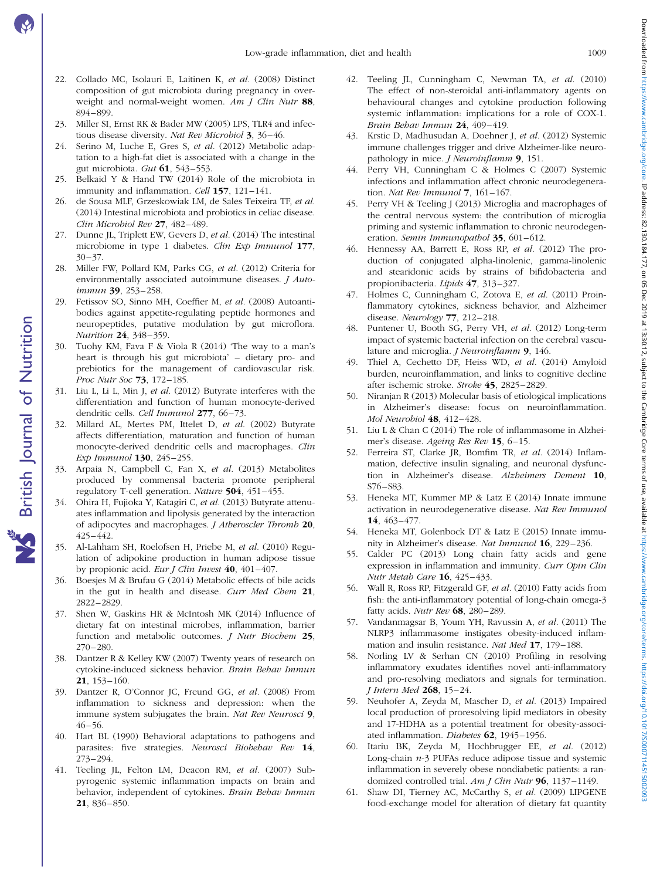- 22. Collado MC, Isolauri E, Laitinen K, et al. (2008) Distinct composition of gut microbiota during pregnancy in overweight and normal-weight women. Am *J Clin Nutr* 88, 894–899.
- 23. Miller SI, Ernst RK & Bader MW (2005) LPS, TLR4 and infectious disease diversity. Nat Rev Microbiol 3, 36–46.
- 24. Serino M, Luche E, Gres S, et al. (2012) Metabolic adaptation to a high-fat diet is associated with a change in the gut microbiota. Gut 61, 543–553.
- 25. Belkaid Y & Hand TW (2014) Role of the microbiota in immunity and inflammation. *Cell* **157**, 121-141.
- 26. de Sousa MLF, Grzeskowiak LM, de Sales Teixeira TF, et al. (2014) Intestinal microbiota and probiotics in celiac disease. Clin Microbiol Rev 27, 482–489.
- 27. Dunne JL, Triplett EW, Gevers D, et al. (2014) The intestinal microbiome in type 1 diabetes. *Clin Exp Immunol* 177, 30–37.
- 28. Miller FW, Pollard KM, Parks CG, et al. (2012) Criteria for environmentally associated autoimmune diseases. J Autoimmun 39, 253–258.
- 29. Fetissov SO, Sinno MH, Coeffier M, et al. (2008) Autoantibodies against appetite-regulating peptide hormones and neuropeptides, putative modulation by gut microflora. Nutrition 24, 348–359.
- 30. Tuohy KM, Fava F & Viola R (2014) 'The way to a man's heart is through his gut microbiota' – dietary pro- and prebiotics for the management of cardiovascular risk. Proc Nutr Soc 73, 172–185.
- 31. Liu L, Li L, Min J, et al. (2012) Butyrate interferes with the differentiation and function of human monocyte-derived dendritic cells. Cell Immunol 277, 66–73.

**NS** British Journal of Nutrition

- 32. Millard AL, Mertes PM, Ittelet D, et al. (2002) Butyrate affects differentiation, maturation and function of human monocyte-derived dendritic cells and macrophages. Clin Exp Immunol 130, 245–255.
- 33. Arpaia N, Campbell C, Fan X, et al. (2013) Metabolites produced by commensal bacteria promote peripheral regulatory T-cell generation. Nature 504, 451–455.
- 34. Ohira H, Fujioka Y, Katagiri C, et al. (2013) Butyrate attenuates inflammation and lipolysis generated by the interaction of adipocytes and macrophages. J Atheroscler Thromb 20, 425–442.
- 35. Al-Lahham SH, Roelofsen H, Priebe M, et al. (2010) Regulation of adipokine production in human adipose tissue by propionic acid. Eur J Clin Invest 40, 401–407.
- 36. Boesjes M & Brufau G (2014) Metabolic effects of bile acids in the gut in health and disease. Curr Med Chem 21, 2822–2829.
- 37. Shen W, Gaskins HR & McIntosh MK (2014) Influence of dietary fat on intestinal microbes, inflammation, barrier function and metabolic outcomes. *J Nutr Biochem* 25, 270–280.
- 38. Dantzer R & Kelley KW (2007) Twenty years of research on cytokine-induced sickness behavior. Brain Behav Immun 21, 153–160.
- 39. Dantzer R, O'Connor JC, Freund GG, et al. (2008) From inflammation to sickness and depression: when the immune system subjugates the brain. Nat Rev Neurosci 9, 46–56.
- 40. Hart BL (1990) Behavioral adaptations to pathogens and parasites: five strategies. Neurosci Biobehav Rev 14, 273–294.
- 41. Teeling JL, Felton LM, Deacon RM, et al. (2007) Subpyrogenic systemic inflammation impacts on brain and behavior, independent of cytokines. Brain Behav Immun 21, 836–850.
- 42. Teeling JL, Cunningham C, Newman TA, et al. (2010) The effect of non-steroidal anti-inflammatory agents on behavioural changes and cytokine production following systemic inflammation: implications for a role of COX-1. Brain Behav Immun 24, 409–419.
- 43. Krstic D, Madhusudan A, Doehner J, et al. (2012) Systemic immune challenges trigger and drive Alzheimer-like neuropathology in mice. *J Neuroinflamm* 9, 151.
- Perry VH, Cunningham C & Holmes C (2007) Systemic infections and inflammation affect chronic neurodegeneration. Nat Rev Immunol 7, 161–167.
- 45. Perry VH & Teeling J (2013) Microglia and macrophages of the central nervous system: the contribution of microglia priming and systemic inflammation to chronic neurodegeneration. Semin Immunopathol 35, 601-612.
- 46. Hennessy AA, Barrett E, Ross RP, et al. (2012) The production of conjugated alpha-linolenic, gamma-linolenic and stearidonic acids by strains of bifidobacteria and propionibacteria. Lipids 47, 313–327.
- 47. Holmes C, Cunningham C, Zotova E, et al. (2011) Proinflammatory cytokines, sickness behavior, and Alzheimer disease. Neurology 77, 212–218.
- 48. Puntener U, Booth SG, Perry VH, et al. (2012) Long-term impact of systemic bacterial infection on the cerebral vasculature and microglia. *J Neuroinflamm* 9, 146.
- 49. Thiel A, Cechetto DF, Heiss WD, et al. (2014) Amyloid burden, neuroinflammation, and links to cognitive decline after ischemic stroke. Stroke 45, 2825–2829.
- 50. Niranjan R (2013) Molecular basis of etiological implications in Alzheimer's disease: focus on neuroinflammation. Mol Neurobiol 48, 412–428.
- 51. Liu L & Chan C (2014) The role of inflammasome in Alzheimer's disease. Ageing Res Rev 15, 6–15.
- 52. Ferreira ST, Clarke JR, Bomfim TR, et al. (2014) Inflammation, defective insulin signaling, and neuronal dysfunction in Alzheimer's disease. Alzheimers Dement 10, S76–S83.
- 53. Heneka MT, Kummer MP & Latz E (2014) Innate immune activation in neurodegenerative disease. Nat Rev Immunol 14, 463–477.
- 54. Heneka MT, Golenbock DT & Latz E (2015) Innate immunity in Alzheimer's disease. Nat Immunol 16, 229–236.
- 55. Calder PC (2013) Long chain fatty acids and gene expression in inflammation and immunity. Curr Opin Clin Nutr Metab Care 16, 425–433.
- 56. Wall R, Ross RP, Fitzgerald GF, et al. (2010) Fatty acids from fish: the anti-inflammatory potential of long-chain omega-3 fatty acids. Nutr Rev  $68$ , 280-289.
- 57. Vandanmagsar B, Youm YH, Ravussin A, et al. (2011) The NLRP3 inflammasome instigates obesity-induced inflammation and insulin resistance. Nat Med 17, 179–188.
- 58. Norling LV & Serhan CN (2010) Profiling in resolving inflammatory exudates identifies novel anti-inflammatory and pro-resolving mediators and signals for termination. J Intern Med 268, 15–24.
- 59. Neuhofer A, Zeyda M, Mascher D, et al. (2013) Impaired local production of proresolving lipid mediators in obesity and 17-HDHA as a potential treatment for obesity-associated inflammation. Diabetes 62, 1945–1956.
- 60. Itariu BK, Zeyda M, Hochbrugger EE, et al. (2012) Long-chain  $n-3$  PUFAs reduce adipose tissue and systemic inflammation in severely obese nondiabetic patients: a randomized controlled trial. Am J Clin Nutr 96, 1137-1149.
- 61. Shaw DI, Tierney AC, McCarthy S, et al. (2009) LIPGENE food-exchange model for alteration of dietary fat quantity

Downloaded from https://www.cambridge.org/core. IP address: 82.130.137, 100 Bec 2019 at 13:30:12, subject to the Cambridge Core terms of use, available at https://www.cambridge.org/core/terms. https://www.cambridge.org/cor Downloaded from https://www.cambrige.org/tore.i9-addiss.82.130.18- top Bec-2019 at 13:30:12, subject to the Cambrige Core terms of use, available at https://www.cambrige.org/core/rems.intps://www.cambrige.org/core/rems.int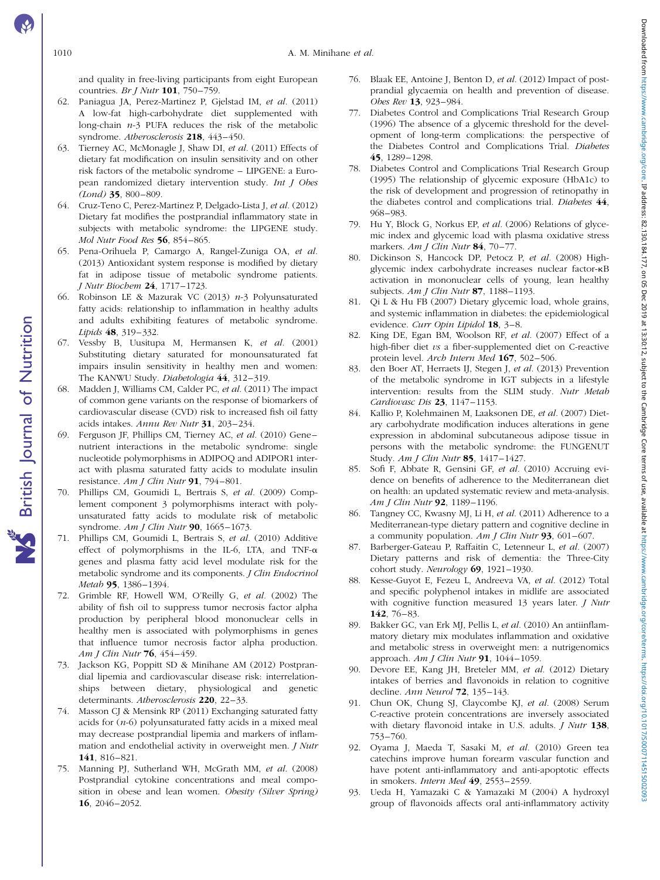**NS** British Journal of Nutrition

and quality in free-living participants from eight European countries. Br J Nutr 101, 750–759.

- 62. Paniagua JA, Perez-Martinez P, Gjelstad IM, et al. (2011) A low-fat high-carbohydrate diet supplemented with long-chain  $n-3$  PUFA reduces the risk of the metabolic syndrome. Atherosclerosis 218, 443–450.
- 63. Tierney AC, McMonagle J, Shaw DI, et al. (2011) Effects of dietary fat modification on insulin sensitivity and on other risk factors of the metabolic syndrome – LIPGENE: a European randomized dietary intervention study. Int J Obes (Lond) 35, 800–809.
- 64. Cruz-Teno C, Perez-Martinez P, Delgado-Lista J, et al. (2012) Dietary fat modifies the postprandial inflammatory state in subjects with metabolic syndrome: the LIPGENE study. Mol Nutr Food Res 56, 854–865.
- 65. Pena-Orihuela P, Camargo A, Rangel-Zuniga OA, et al. (2013) Antioxidant system response is modified by dietary fat in adipose tissue of metabolic syndrome patients. J Nutr Biochem 24, 1717–1723.
- 66. Robinson LE & Mazurak VC (2013) n-3 Polyunsaturated fatty acids: relationship to inflammation in healthy adults and adults exhibiting features of metabolic syndrome. Lipids 48, 319–332.
- 67. Vessby B, Uusitupa M, Hermansen K, et al. (2001) Substituting dietary saturated for monounsaturated fat impairs insulin sensitivity in healthy men and women: The KANWU Study. Diabetologia 44, 312–319.
- 68. Madden J, Williams CM, Calder PC, et al. (2011) The impact of common gene variants on the response of biomarkers of cardiovascular disease (CVD) risk to increased fish oil fatty acids intakes. Annu Rev Nutr 31, 203–234.
- 69. Ferguson JF, Phillips CM, Tierney AC, et al. (2010) Gene– nutrient interactions in the metabolic syndrome: single nucleotide polymorphisms in ADIPOQ and ADIPOR1 interact with plasma saturated fatty acids to modulate insulin resistance. Am J Clin Nutr 91, 794-801.
- 70. Phillips CM, Goumidi L, Bertrais S, et al. (2009) Complement component 3 polymorphisms interact with polyunsaturated fatty acids to modulate risk of metabolic syndrome. Am *J Clin Nutr* **90**, 1665–1673.
- 71. Phillips CM, Goumidi L, Bertrais S, et al. (2010) Additive effect of polymorphisms in the IL-6, LTA, and TNF- $\alpha$ genes and plasma fatty acid level modulate risk for the metabolic syndrome and its components. J Clin Endocrinol Metab 95, 1386–1394.
- 72. Grimble RF, Howell WM, O'Reilly G, et al. (2002) The ability of fish oil to suppress tumor necrosis factor alpha production by peripheral blood mononuclear cells in healthy men is associated with polymorphisms in genes that influence tumor necrosis factor alpha production. Am J Clin Nutr 76, 454–459.
- 73. Jackson KG, Poppitt SD & Minihane AM (2012) Postprandial lipemia and cardiovascular disease risk: interrelationships between dietary, physiological and genetic determinants. Atherosclerosis 220, 22–33.
- 74. Masson CJ & Mensink RP (2011) Exchanging saturated fatty acids for  $(n-6)$  polyunsaturated fatty acids in a mixed meal may decrease postprandial lipemia and markers of inflammation and endothelial activity in overweight men. J Nutr 141, 816–821.
- 75. Manning PJ, Sutherland WH, McGrath MM, et al. (2008) Postprandial cytokine concentrations and meal composition in obese and lean women. Obesity (Silver Spring) 16, 2046–2052.
- 76. Blaak EE, Antoine J, Benton D, et al. (2012) Impact of postprandial glycaemia on health and prevention of disease. Obes Rev 13, 923–984.
- 77. Diabetes Control and Complications Trial Research Group (1996) The absence of a glycemic threshold for the development of long-term complications: the perspective of the Diabetes Control and Complications Trial. Diabetes 45, 1289–1298.
- 78. Diabetes Control and Complications Trial Research Group (1995) The relationship of glycemic exposure (HbA1c) to the risk of development and progression of retinopathy in the diabetes control and complications trial. Diabetes 44, 968–983.
- 79. Hu Y, Block G, Norkus EP, et al. (2006) Relations of glycemic index and glycemic load with plasma oxidative stress markers. Am J Clin Nutr 84, 70-77.
- 80. Dickinson S, Hancock DP, Petocz P, et al. (2008) Highglycemic index carbohydrate increases nuclear factor-kB activation in mononuclear cells of young, lean healthy subjects. Am *J Clin Nutr* **87**, 1188-1193.
- 81. Qi L & Hu FB (2007) Dietary glycemic load, whole grains, and systemic inflammation in diabetes: the epidemiological evidence. Curr Opin Lipidol 18, 3–8.
- 82. King DE, Egan BM, Woolson RF, et al. (2007) Effect of a high-fiber diet vs a fiber-supplemented diet on C-reactive protein level. Arch Intern Med 167, 502-506.
- 83. den Boer AT, Herraets IJ, Stegen J, et al. (2013) Prevention of the metabolic syndrome in IGT subjects in a lifestyle intervention: results from the SLIM study. Nutr Metab Cardiovasc Dis 23, 1147–1153.
- 84. Kallio P, Kolehmainen M, Laaksonen DE, et al. (2007) Dietary carbohydrate modification induces alterations in gene expression in abdominal subcutaneous adipose tissue in persons with the metabolic syndrome: the FUNGENUT Study. Am J Clin Nutr 85, 1417–1427.
- 85. Sofi F, Abbate R, Gensini GF, et al. (2010) Accruing evidence on benefits of adherence to the Mediterranean diet on health: an updated systematic review and meta-analysis. Am J Clin Nutr 92, 1189–1196.
- 86. Tangney CC, Kwasny MJ, Li H, et al. (2011) Adherence to a Mediterranean-type dietary pattern and cognitive decline in a community population. Am J Clin Nutr  $93$ , 601-607.
- 87. Barberger-Gateau P, Raffaitin C, Letenneur L, et al. (2007) Dietary patterns and risk of dementia: the Three-City cohort study. Neurology 69, 1921-1930.
- 88. Kesse-Guyot E, Fezeu L, Andreeva VA, et al. (2012) Total and specific polyphenol intakes in midlife are associated with cognitive function measured 13 years later. *J Nutr* 142, 76–83.
- 89. Bakker GC, van Erk MJ, Pellis L, et al. (2010) An antiinflammatory dietary mix modulates inflammation and oxidative and metabolic stress in overweight men: a nutrigenomics approach. Am J Clin Nutr  $91$ , 1044-1059.
- 90. Devore EE, Kang JH, Breteler MM, et al. (2012) Dietary intakes of berries and flavonoids in relation to cognitive decline. Ann Neurol 72, 135–143.
- 91. Chun OK, Chung SJ, Claycombe KJ, et al. (2008) Serum C-reactive protein concentrations are inversely associated with dietary flavonoid intake in U.S. adults. *J Nutr* 138, 753–760.
- 92. Oyama J, Maeda T, Sasaki M, et al. (2010) Green tea catechins improve human forearm vascular function and have potent anti-inflammatory and anti-apoptotic effects in smokers. Intern Med 49, 2553–2559.
- 93. Ueda H, Yamazaki C & Yamazaki M (2004) A hydroxyl group of flavonoids affects oral anti-inflammatory activity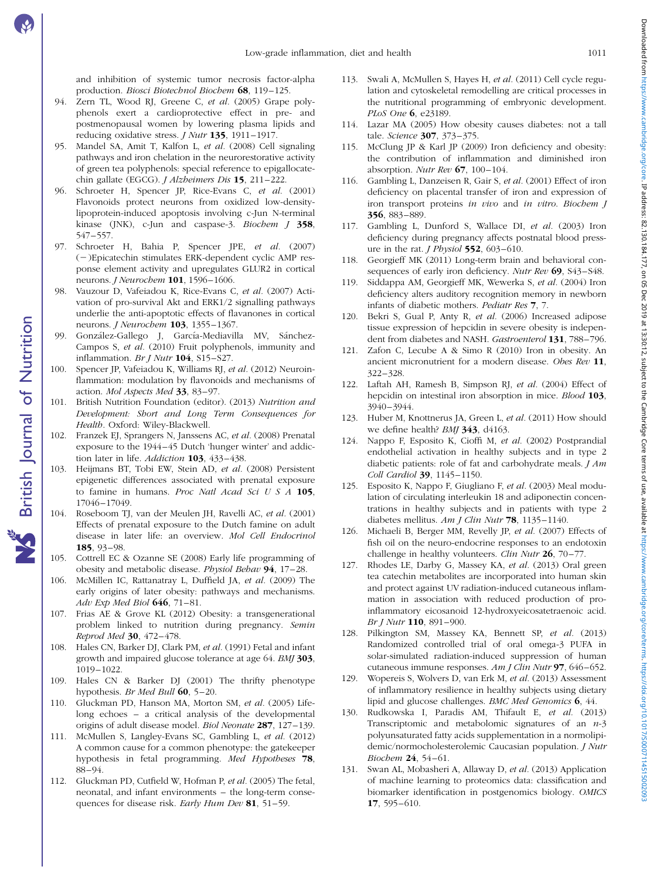and inhibition of systemic tumor necrosis factor-alpha production. Biosci Biotechnol Biochem 68, 119–125.

- 94. Zern TL, Wood RJ, Greene C, et al. (2005) Grape polyphenols exert a cardioprotective effect in pre- and postmenopausal women by lowering plasma lipids and reducing oxidative stress. J Nutr 135, 1911–1917.
- 95. Mandel SA, Amit T, Kalfon L, et al. (2008) Cell signaling pathways and iron chelation in the neurorestorative activity of green tea polyphenols: special reference to epigallocatechin gallate (EGCG). J Alzheimers Dis 15, 211–222.
- 96. Schroeter H, Spencer JP, Rice-Evans C, et al. (2001) Flavonoids protect neurons from oxidized low-densitylipoprotein-induced apoptosis involving c-Jun N-terminal kinase (JNK), c-Jun and caspase-3. Biochem J 358, 547–557.
- 97. Schroeter H, Bahia P, Spencer JPE, et al. (2007) (2)Epicatechin stimulates ERK-dependent cyclic AMP response element activity and upregulates GLUR2 in cortical neurons. J Neurochem 101, 1596-1606.
- 98. Vauzour D, Vafeiadou K, Rice-Evans C, et al. (2007) Activation of pro-survival Akt and ERK1/2 signalling pathways underlie the anti-apoptotic effects of flavanones in cortical neurons. *J Neurochem* **103**, 1355-1367.
- 99. González-Gallego J, García-Mediavilla MV, Sánchez-Campos S, et al. (2010) Fruit polyphenols, immunity and inflammation. Br J Nutr 104, S15–S27.
- 100. Spencer JP, Vafeiadou K, Williams RJ, et al. (2012) Neuroinflammation: modulation by flavonoids and mechanisms of action. Mol Aspects Med 33, 83–97.
- 101. British Nutrition Foundation (editor). (2013) Nutrition and Development: Short and Long Term Consequences for Health. Oxford: Wiley-Blackwell.
- 102. Franzek EJ, Sprangers N, Janssens AC, et al. (2008) Prenatal exposure to the 1944–45 Dutch 'hunger winter' and addiction later in life. Addiction 103, 433–438.
- 103. Heijmans BT, Tobi EW, Stein AD, et al. (2008) Persistent epigenetic differences associated with prenatal exposure to famine in humans. Proc Natl Acad Sci U S A 105, 17046–17049.
- 104. Roseboom TJ, van der Meulen JH, Ravelli AC, et al. (2001) Effects of prenatal exposure to the Dutch famine on adult disease in later life: an overview. Mol Cell Endocrinol 185, 93–98.
- 105. Cottrell EC & Ozanne SE (2008) Early life programming of obesity and metabolic disease. Physiol Behav 94, 17–28.
- 106. McMillen IC, Rattanatray L, Duffield JA, et al. (2009) The early origins of later obesity: pathways and mechanisms. Adv Exp Med Biol 646, 71–81.
- 107. Frias AE & Grove KL (2012) Obesity: a transgenerational problem linked to nutrition during pregnancy. Semin Reprod Med 30, 472–478.
- 108. Hales CN, Barker DJ, Clark PM, et al. (1991) Fetal and infant growth and impaired glucose tolerance at age 64. BMJ 303, 1019–1022.
- 109. Hales CN & Barker DJ (2001) The thrifty phenotype hypothesis. Br Med Bull 60, 5–20.
- 110. Gluckman PD, Hanson MA, Morton SM, et al. (2005) Lifelong echoes – a critical analysis of the developmental origins of adult disease model. Biol Neonate 287, 127–139.
- 111. McMullen S, Langley-Evans SC, Gambling L, et al. (2012) A common cause for a common phenotype: the gatekeeper hypothesis in fetal programming. Med Hypotheses 78, 88–94.
- 112. Gluckman PD, Cutfield W, Hofman P, et al. (2005) The fetal, neonatal, and infant environments – the long-term consequences for disease risk. Early Hum Dev 81, 51–59.
- 113. Swali A, McMullen S, Hayes H, et al. (2011) Cell cycle regulation and cytoskeletal remodelling are critical processes in the nutritional programming of embryonic development. PLoS One **6**, e23189.
- 114. Lazar MA (2005) How obesity causes diabetes: not a tall tale. Science 307, 373–375.
- 115. McClung JP & Karl JP (2009) Iron deficiency and obesity: the contribution of inflammation and diminished iron absorption. Nutr Rev  $67$ , 100-104.
- 116. Gambling L, Danzeisen R, Gair S, et al. (2001) Effect of iron deficiency on placental transfer of iron and expression of iron transport proteins in vivo and in vitro. Biochem J 356, 883–889.
- 117. Gambling L, Dunford S, Wallace DI, et al. (2003) Iron deficiency during pregnancy affects postnatal blood pressure in the rat.  $J$  Physiol 552, 603-610.
- 118. Georgieff MK (2011) Long-term brain and behavioral consequences of early iron deficiency. Nutr Rev 69, S43-S48.
- 119. Siddappa AM, Georgieff MK, Wewerka S, et al. (2004) Iron deficiency alters auditory recognition memory in newborn infants of diabetic mothers. Pediatr Res 7, 7.
- 120. Bekri S, Gual P, Anty R, et al. (2006) Increased adipose tissue expression of hepcidin in severe obesity is independent from diabetes and NASH. Gastroenterol 131, 788-796.
- 121. Zafon C, Lecube A & Simo R (2010) Iron in obesity. An ancient micronutrient for a modern disease. Obes Rev 11, 322–328.
- 122. Laftah AH, Ramesh B, Simpson RJ, et al. (2004) Effect of hepcidin on intestinal iron absorption in mice. Blood 103, 3940–3944.
- 123. Huber M, Knottnerus JA, Green L, et al. (2011) How should we define health? BMJ 343, d4163.
- 124. Nappo F, Esposito K, Cioffi M, et al. (2002) Postprandial endothelial activation in healthy subjects and in type 2 diabetic patients: role of fat and carbohydrate meals. J Am Coll Cardiol 39, 1145–1150.
- 125. Esposito K, Nappo F, Giugliano F, et al. (2003) Meal modulation of circulating interleukin 18 and adiponectin concentrations in healthy subjects and in patients with type 2 diabetes mellitus. Am J Clin Nutr 78, 1135-1140.
- 126. Michaeli B, Berger MM, Revelly JP, et al. (2007) Effects of fish oil on the neuro-endocrine responses to an endotoxin challenge in healthy volunteers. Clin Nutr 26, 70-77.
- 127. Rhodes LE, Darby G, Massey KA, et al. (2013) Oral green tea catechin metabolites are incorporated into human skin and protect against UV radiation-induced cutaneous inflammation in association with reduced production of proinflammatory eicosanoid 12-hydroxyeicosatetraenoic acid. Br J Nutr 110, 891–900.
- 128. Pilkington SM, Massey KA, Bennett SP, et al. (2013) Randomized controlled trial of oral omega-3 PUFA in solar-simulated radiation-induced suppression of human cutaneous immune responses. Am J Clin Nutr 97, 646–652.
- 129. Wopereis S, Wolvers D, van Erk M, et al. (2013) Assessment of inflammatory resilience in healthy subjects using dietary lipid and glucose challenges. BMC Med Genomics 6, 44.
- 130. Rudkowska I, Paradis AM, Thifault E, et al. (2013) Transcriptomic and metabolomic signatures of an  $n-3$ polyunsaturated fatty acids supplementation in a normolipidemic/normocholesterolemic Caucasian population. J Nutr Biochem 24, 54–61.
- 131. Swan AL, Mobasheri A, Allaway D, et al. (2013) Application of machine learning to proteomics data: classification and biomarker identification in postgenomics biology. OMICS 17, 595–610.